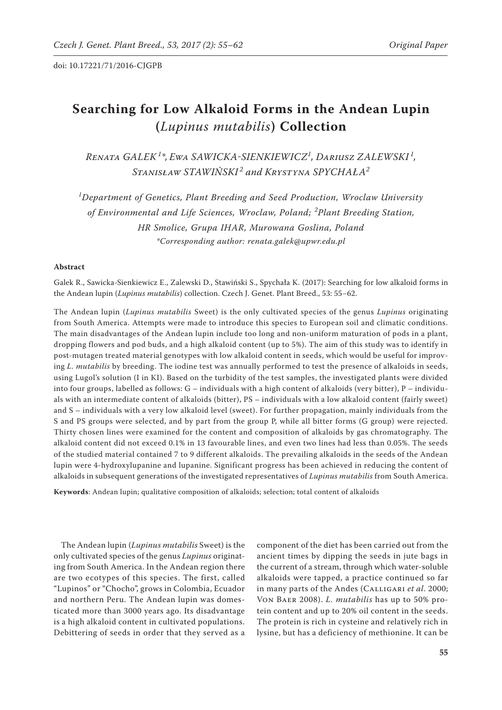# **Searching for Low Alkaloid Forms in the Andean Lupin (***Lupinus mutabilis***) Collection**

*Renata GALEK<sup>1</sup> \*, Ewa SAWICKA-SIENKIEWICZ<sup>1</sup> , Dariusz ZALEWSKI <sup>1</sup> , Stanisław STAWIŃSKI <sup>2</sup> and Krystyna SPYCHAŁA<sup>2</sup>*

*1 Department of Genetics, Plant Breeding and Seed Production, Wroclaw University of Environmental and Life Sciences, Wroclaw, Poland; <sup>2</sup> Plant Breeding Station, HR Smolice, Grupa IHAR, Murowana Goslina, Poland \*Corresponding author: renata.galek@upwr.edu.pl*

#### **Abstract**

Galek R., Sawicka-Sienkiewicz E., Zalewski D., Stawiński S., Spychała K. (2017): Searching for low alkaloid forms in the Andean lupin (*Lupinus mutabilis*) collection. Czech J. Genet. Plant Breed., 53: 55−62.

The Andean lupin (*Lupinus mutabilis* Sweet) is the only cultivated species of the genus *Lupinus* originating from South America. Attempts were made to introduce this species to European soil and climatic conditions. The main disadvantages of the Andean lupin include too long and non-uniform maturation of pods in a plant, dropping flowers and pod buds, and a high alkaloid content (up to 5%). The aim of this study was to identify in post-mutagen treated material genotypes with low alkaloid content in seeds, which would be useful for improving *L. mutabilis* by breeding. The iodine test was annually performed to test the presence of alkaloids in seeds, using Lugol's solution (I in KI). Based on the turbidity of the test samples, the investigated plants were divided into four groups, labelled as follows: G – individuals with a high content of alkaloids (very bitter), P – individuals with an intermediate content of alkaloids (bitter), PS – individuals with a low alkaloid content (fairly sweet) and S – individuals with a very low alkaloid level (sweet). For further propagation, mainly individuals from the S and PS groups were selected, and by part from the group P, while all bitter forms (G group) were rejected. Thirty chosen lines were examined for the content and composition of alkaloids by gas chromatography. The alkaloid content did not exceed 0.1% in 13 favourable lines, and even two lines had less than 0.05%. The seeds of the studied material contained 7 to 9 different alkaloids. The prevailing alkaloids in the seeds of the Andean lupin were 4-hydroxylupanine and lupanine. Significant progress has been achieved in reducing the content of alkaloids in subsequent generations of the investigated representatives of *Lupinus mutabilis* from South America.

**Keywords**: Andean lupin; qualitative composition of alkaloids; selection; total content of alkaloids

The Andean lupin (*Lupinus mutabilis* Sweet) is the only cultivated species of the genus *Lupinus* originating from South America. In the Andean region there are two ecotypes of this species. The first, called "Lupinos" or "Chocho", grows in Colombia, Ecuador and northern Peru. The Andean lupin was domesticated more than 3000 years ago. Its disadvantage is a high alkaloid content in cultivated populations. Debittering of seeds in order that they served as a

component of the diet has been carried out from the ancient times by dipping the seeds in jute bags in the current of a stream, through which water-soluble alkaloids were tapped, a practice continued so far in many parts of the Andes (Calligari *et al*. 2000; Von Baer 2008). *L. mutabilis* has up to 50% protein content and up to 20% oil content in the seeds. The protein is rich in cysteine and relatively rich in lysine, but has a deficiency of methionine. It can be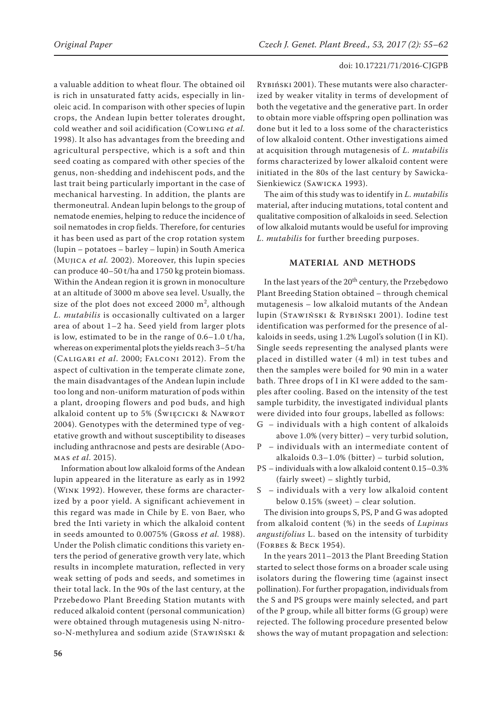a valuable addition to wheat flour. The obtained oil is rich in unsaturated fatty acids, especially in linoleic acid. In comparison with other species of lupin crops, the Andean lupin better tolerates drought, cold weather and soil acidification (Cowling *et al.* 1998). It also has advantages from the breeding and agricultural perspective, which is a soft and thin seed coating as compared with other species of the genus, non-shedding and indehiscent pods, and the last trait being particularly important in the case of mechanical harvesting. In addition, the plants are thermoneutral. Andean lupin belongs to the group of nematode enemies, helping to reduce the incidence of soil nematodes in crop fields. Therefore, for centuries it has been used as part of the crop rotation system (lupin – potatoes – barley – lupin) in South America (Mujica *et al.* 2002). Moreover, this lupin species can produce 40–50 t/ha and 1750 kg protein biomass. Within the Andean region it is grown in monoculture at an altitude of 3000 m above sea level. Usually, the size of the plot does not exceed 2000  $m^2$ , although *L. mutabilis* is occasionally cultivated on a larger area of about 1–2 ha. Seed yield from larger plots is low, estimated to be in the range of 0.6–1.0 t/ha, whereas on experimental plots the yields reach 3–5 t/ha (Caligari *et al*. 2000; Falconi 2012). From the aspect of cultivation in the temperate climate zone, the main disadvantages of the Andean lupin include too long and non-uniform maturation of pods within a plant, drooping flowers and pod buds, and high alkaloid content up to 5% (ŚwiĘcicki & Nawrot 2004). Genotypes with the determined type of vegetative growth and without susceptibility to diseases including anthracnose and pests are desirable (ADOmas *et al*. 2015).

Information about low alkaloid forms of the Andean lupin appeared in the literature as early as in 1992 (Wink 1992). However, these forms are characterized by a poor yield. A significant achievement in this regard was made in Chile by E. von Baer, who bred the Inti variety in which the alkaloid content in seeds amounted to 0.0075% (Gross *et al.* 1988). Under the Polish climatic conditions this variety enters the period of generative growth very late, which results in incomplete maturation, reflected in very weak setting of pods and seeds, and sometimes in their total lack. In the 90s of the last century, at the Przebedowo Plant Breeding Station mutants with reduced alkaloid content (personal communication) were obtained through mutagenesis using N-nitroso-N-methylurea and sodium azide (STAWIŃSKI &

Rybiński 2001). These mutants were also characterized by weaker vitality in terms of development of both the vegetative and the generative part. In order to obtain more viable offspring open pollination was done but it led to a loss some of the characteristics of low alkaloid content. Other investigations aimed at acquisition through mutagenesis of *L. mutabilis* forms characterized by lower alkaloid content were initiated in the 80s of the last century by Sawicka-Sienkiewicz (Sawicka 1993).

The aim of this study was to identify in *L. mutabilis* material, after inducing mutations, total content and qualitative composition of alkaloids in seed. Selection of low alkaloid mutants would be useful for improving *L. mutabilis* for further breeding purposes.

# **MATERIAL AND METHODS**

In the last years of the 20<sup>th</sup> century, the Przebędowo Plant Breeding Station obtained – through chemical mutagenesis – low alkaloid mutants of the Andean lupin (Stawiński & Rybiński 2001). Iodine test identification was performed for the presence of alkaloids in seeds, using 1.2% Lugol's solution (I in KI). Single seeds representing the analysed plants were placed in distilled water (4 ml) in test tubes and then the samples were boiled for 90 min in a water bath. Three drops of I in KI were added to the samples after cooling. Based on the intensity of the test sample turbidity, the investigated individual plants were divided into four groups, labelled as follows:

- G individuals with a high content of alkaloids above 1.0% (very bitter) – very turbid solution,
- P individuals with an intermediate content of alkaloids 0.3–1.0% (bitter) – turbid solution,
- PS individuals with a low alkaloid content 0.15–0.3% (fairly sweet) – slightly turbid,
- S individuals with a very low alkaloid content below 0.15% (sweet) – clear solution.

The division into groups S, PS, P and G was adopted from alkaloid content (%) in the seeds of *Lupinus angustifolius* L. based on the intensity of turbidity (Forbes & Beck 1954).

In the years 2011–2013 the Plant Breeding Station started to select those forms on a broader scale using isolators during the flowering time (against insect pollination). For further propagation, individuals from the S and PS groups were mainly selected, and part of the P group, while all bitter forms (G group) were rejected. The following procedure presented below shows the way of mutant propagation and selection: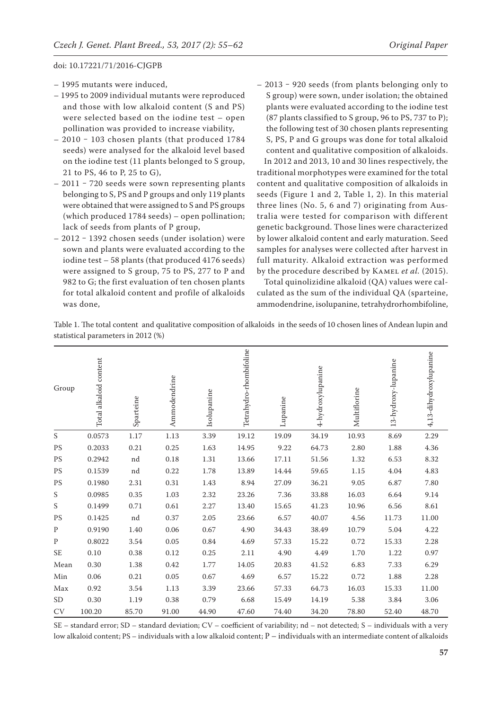- 1995 mutants were induced,
- 1995 to 2009 individual mutants were reproduced and those with low alkaloid content (S and PS) were selected based on the iodine test – open pollination was provided to increase viability,
- $-2010 103$  chosen plants (that produced 1784 seeds) were analysed for the alkaloid level based on the iodine test (11 plants belonged to S group, 21 to PS, 46 to P, 25 to G),
- $-2011 720$  seeds were sown representing plants belonging to S, PS and P groups and only 119 plants were obtained that were assigned to S and PS groups (which produced 1784 seeds) – open pollination; lack of seeds from plants of P group,
- 2012 ‒ 1392 chosen seeds (under isolation) were sown and plants were evaluated according to the iodine test – 58 plants (that produced 4176 seeds) were assigned to S group, 75 to PS, 277 to P and 982 to G; the first evaluation of ten chosen plants for total alkaloid content and profile of alkaloids was done,
- 2013 ‒ 920 seeds (from plants belonging only to S group) were sown, under isolation; the obtained plants were evaluated according to the iodine test (87 plants classified to S group, 96 to PS, 737 to P); the following test of 30 chosen plants representing S, PS, P and G groups was done for total alkaloid content and qualitative composition of alkaloids. In 2012 and 2013, 10 and 30 lines respectively, the traditional morphotypes were examined for the total content and qualitative composition of alkaloids in seeds (Figure 1 and 2, Table 1, 2). In this material three lines (No. 5, 6 and 7) originating from Australia were tested for comparison with different genetic background. Those lines were characterized by lower alkaloid content and early maturation. Seed samples for analyses were collected after harvest in full maturity. Alkaloid extraction was performed by the procedure described by KAMEL *et al.* (2015).

Total quinolizidine alkaloid (QA) values were calculated as the sum of the individual QA (sparteine, ammodendrine, isolupanine, tetrahydrorhombifoline,

Table 1. The total content and qualitative composition of alkaloids in the seeds of 10 chosen lines of Andean lupin and statistical parameters in 2012 (%)

| Group                     | Total alkaloid content | Sparteine | Ammodendrine | Isolupanine | Tetrahydro-rhombifoline | Lupanine | 4-hydroxylupanine | Multiflorine | 13-hydroxy-lupanine | 4,13-dihydroxylupanine |
|---------------------------|------------------------|-----------|--------------|-------------|-------------------------|----------|-------------------|--------------|---------------------|------------------------|
| S                         | 0.0573                 | 1.17      | 1.13         | 3.39        | 19.12                   | 19.09    | 34.19             | 10.93        | 8.69                | 2.29                   |
| <b>PS</b>                 | 0.2033                 | 0.21      | 0.25         | 1.63        | 14.95                   | 9.22     | 64.73             | 2.80         | 1.88                | 4.36                   |
| <b>PS</b>                 | 0.2942                 | nd        | 0.18         | 1.31        | 13.66                   | 17.11    | 51.56             | 1.32         | 6.53                | 8.32                   |
| <b>PS</b>                 | 0.1539                 | nd        | 0.22         | 1.78        | 13.89                   | 14.44    | 59.65             | 1.15         | 4.04                | 4.83                   |
| <b>PS</b>                 | 0.1980                 | 2.31      | 0.31         | 1.43        | 8.94                    | 27.09    | 36.21             | 9.05         | 6.87                | 7.80                   |
| S                         | 0.0985                 | 0.35      | 1.03         | 2.32        | 23.26                   | 7.36     | 33.88             | 16.03        | 6.64                | 9.14                   |
| $\boldsymbol{\mathsf{S}}$ | 0.1499                 | 0.71      | 0.61         | 2.27        | 13.40                   | 15.65    | 41.23             | 10.96        | 6.56                | 8.61                   |
| <b>PS</b>                 | 0.1425                 | nd        | 0.37         | 2.05        | 23.66                   | 6.57     | 40.07             | 4.56         | 11.73               | 11.00                  |
| ${\bf P}$                 | 0.9190                 | 1.40      | 0.06         | 0.67        | 4.90                    | 34.43    | 38.49             | 10.79        | 5.04                | 4.22                   |
| ${\bf P}$                 | 0.8022                 | 3.54      | 0.05         | 0.84        | 4.69                    | 57.33    | 15.22             | 0.72         | 15.33               | 2.28                   |
| <b>SE</b>                 | 0.10                   | 0.38      | 0.12         | 0.25        | 2.11                    | 4.90     | 4.49              | 1.70         | 1.22                | 0.97                   |
| Mean                      | 0.30                   | 1.38      | 0.42         | 1.77        | 14.05                   | 20.83    | 41.52             | 6.83         | 7.33                | 6.29                   |
| Min                       | 0.06                   | 0.21      | 0.05         | 0.67        | 4.69                    | 6.57     | 15.22             | 0.72         | 1.88                | 2.28                   |
| Max                       | 0.92                   | 3.54      | 1.13         | 3.39        | 23.66                   | 57.33    | 64.73             | 16.03        | 15.33               | 11.00                  |
| <b>SD</b>                 | 0.30                   | 1.19      | 0.38         | 0.79        | 6.68                    | 15.49    | 14.19             | 5.38         | 3.84                | 3.06                   |
| <b>CV</b>                 | 100.20                 | 85.70     | 91.00        | 44.90       | 47.60                   | 74.40    | 34.20             | 78.80        | 52.40               | 48.70                  |

SE – standard error; SD – standard deviation; CV – coefficient of variability; nd – not detected; S – individuals with a very low alkaloid content;  $PS$  – individuals with a low alkaloid content;  $P$  – individuals with an intermediate content of alkaloids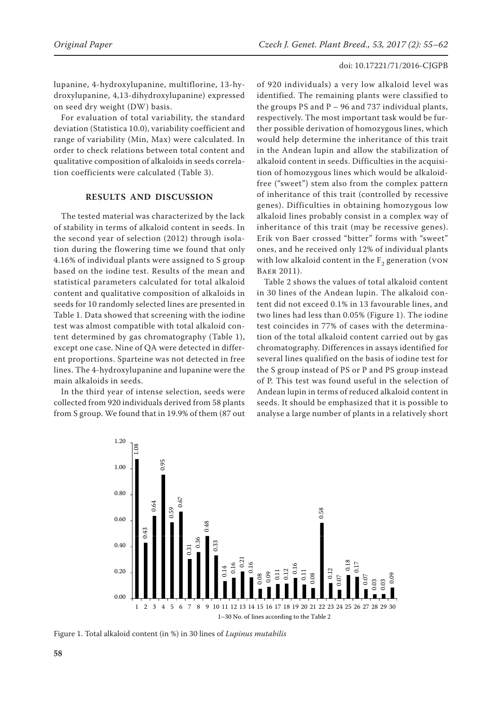lupanine, 4-hydroxylupanine, multiflorine, 13-hydroxylupanine, 4,13-dihydroxylupanine) expressed on seed dry weight (DW) basis.

For evaluation of total variability, the standard deviation (Statistica 10.0), variability coefficient and range of variability (Min, Max) were calculated. In order to check relations between total content and qualitative composition of alkaloids in seeds correlation coefficients were calculated (Table 3).

#### **RESULTS AND DISCUSSION**

The tested material was characterized by the lack of stability in terms of alkaloid content in seeds. In the second year of selection (2012) through isolation during the flowering time we found that only 4.16% of individual plants were assigned to S group based on the iodine test. Results of the mean and statistical parameters calculated for total alkaloid content and qualitative composition of alkaloids in seeds for 10 randomly selected lines are presented in Table 1. Data showed that screening with the iodine test was almost compatible with total alkaloid content determined by gas chromatography (Table 1), except one case. Nine of QA were detected in different proportions. Sparteine was not detected in free lines. The 4-hydroxylupanine and lupanine were the main alkaloids in seeds.

In the third year of intense selection, seeds were collected from 920 individuals derived from 58 plants from S group. We found that in 19.9% of them (87 out

of 920 individuals) a very low alkaloid level was identified. The remaining plants were classified to the groups PS and  $P - 96$  and 737 individual plants, respectively. The most important task would be further possible derivation of homozygous lines, which would help determine the inheritance of this trait in the Andean lupin and allow the stabilization of alkaloid content in seeds. Difficulties in the acquisition of homozygous lines which would be alkaloidfree ("sweet") stem also from the complex pattern of inheritance of this trait (controlled by recessive genes). Difficulties in obtaining homozygous low alkaloid lines probably consist in a complex way of inheritance of this trait (may be recessive genes). Erik von Baer crossed "bitter" forms with "sweet" ones, and he received only 12% of individual plants with low alkaloid content in the  $F<sub>2</sub>$  generation (von Baer 2011).

Table 2 shows the values of total alkaloid content in 30 lines of the Andean lupin. The alkaloid content did not exceed 0.1% in 13 favourable lines, and two lines had less than 0.05% (Figure 1). The iodine test coincides in 77% of cases with the determination of the total alkaloid content carried out by gas chromatography. Differences in assays identified for several lines qualified on the basis of iodine test for the S group instead of PS or P and PS group instead of P. This test was found useful in the selection of Andean lupin in terms of reduced alkaloid content in seeds. It should be emphasized that it is possible to analyse a large number of plants in a relatively short

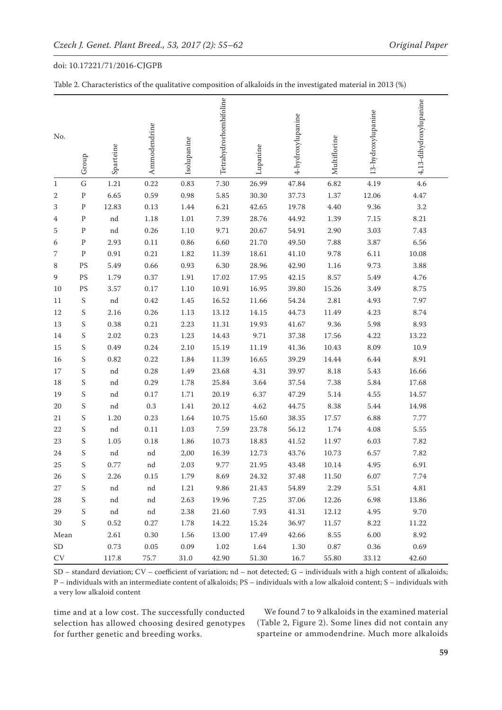|  |  |  | Table 2. Characteristics of the qualitative composition of alkaloids in the investigated material in 2013 (%) |  |
|--|--|--|---------------------------------------------------------------------------------------------------------------|--|
|--|--|--|---------------------------------------------------------------------------------------------------------------|--|

| No.           | Group                     | Sparteine | Ammodendrine | Isolupanine | Tetrahydrorhombifoline | Lupanine | 4-hydroxylupanine | Multiflorine | 13-hydroxylupanine | 4,13-dihydroxylupanine |
|---------------|---------------------------|-----------|--------------|-------------|------------------------|----------|-------------------|--------------|--------------------|------------------------|
| $1\,$         | G                         | 1.21      | 0.22         | 0.83        | 7.30                   | 26.99    | 47.84             | 6.82         | 4.19               | 4.6                    |
| 2             | P                         | 6.65      | 0.59         | 0.98        | 5.85                   | 30.30    | 37.73             | $1.37\,$     | 12.06              | 4.47                   |
| 3             | P                         | 12.83     | 0.13         | 1.44        | 6.21                   | 42.65    | 19.78             | 4.40         | 9.36               | 3.2                    |
| 4             | P                         | nd        | 1.18         | 1.01        | 7.39                   | 28.76    | 44.92             | 1.39         | 7.15               | 8.21                   |
| 5             | P                         | nd        | 0.26         | 1.10        | 9.71                   | 20.67    | 54.91             | 2.90         | 3.03               | 7.43                   |
| 6             | P                         | 2.93      | 0.11         | 0.86        | 6.60                   | 21.70    | 49.50             | 7.88         | 3.87               | 6.56                   |
| 7             | $\mathbf{P}$              | 0.91      | 0.21         | 1.82        | 11.39                  | 18.61    | 41.10             | 9.78         | 6.11               | 10.08                  |
| 8             | PS                        | 5.49      | 0.66         | 0.93        | 6.30                   | 28.96    | 42.90             | 1.16         | 9.73               | 3.88                   |
| 9             | PS                        | 1.79      | 0.37         | 1.91        | 17.02                  | 17.95    | 42.15             | 8.57         | 5.49               | 4.76                   |
| 10            | PS                        | 3.57      | 0.17         | 1.10        | 10.91                  | 16.95    | 39.80             | 15.26        | 3.49               | 8.75                   |
| 11            | $\boldsymbol{\mathsf{S}}$ | nd        | 0.42         | 1.45        | 16.52                  | 11.66    | 54.24             | 2.81         | 4.93               | 7.97                   |
| 12            | S                         | 2.16      | 0.26         | 1.13        | 13.12                  | 14.15    | 44.73             | 11.49        | 4.23               | 8.74                   |
| 13            | S                         | 0.38      | 0.21         | 2.23        | $11.31\,$              | 19.93    | 41.67             | 9.36         | 5.98               | 8.93                   |
| 14            | S                         | 2.02      | 0.23         | 1.23        | 14.43                  | 9.71     | 37.38             | 17.56        | 4.22               | 13.22                  |
| 15            | S                         | 0.49      | 0.24         | 2.10        | 15.19                  | 11.19    | 41.36             | 10.43        | 8.09               | 10.9                   |
| 16            | S                         | 0.82      | 0.22         | 1.84        | 11.39                  | 16.65    | 39.29             | 14.44        | 6.44               | 8.91                   |
| 17            | $\boldsymbol{\mathsf{S}}$ | nd        | 0.28         | 1.49        | 23.68                  | 4.31     | 39.97             | 8.18         | 5.43               | 16.66                  |
| 18            | S                         | nd        | 0.29         | 1.78        | 25.84                  | 3.64     | 37.54             | 7.38         | 5.84               | 17.68                  |
| 19            | S                         | nd        | 0.17         | 1.71        | 20.19                  | 6.37     | 47.29             | 5.14         | 4.55               | 14.57                  |
| 20            | S                         | nd        | 0.3          | 1.41        | 20.12                  | 4.62     | 44.75             | $8.38\,$     | 5.44               | 14.98                  |
| 21            | S                         | $1.20\,$  | 0.23         | 1.64        | 10.75                  | 15.60    | 38.35             | 17.57        | 6.88               | 7.77                   |
| 22            | S                         | nd        | 0.11         | 1.03        | 7.59                   | 23.78    | 56.12             | 1.74         | 4.08               | 5.55                   |
| 23            | S                         | 1.05      | 0.18         | 1.86        | 10.73                  | 18.83    | 41.52             | 11.97        | 6.03               | 7.82                   |
| 24            | S                         | nd        | nd           | 2,00        | 16.39                  | 12.73    | 43.76             | 10.73        | 6.57               | 7.82                   |
| 25            | S                         | 0.77      | nd           | 2.03        | 9.77                   | 21.95    | 43.48             | 10.14        | 4.95               | 6.91                   |
| 26            | $\mathbf S$               | 2.26      | 0.15         | 1.79        | 8.69                   | 24.32    | 37.48             | 11.50        | 6.07               | 7.74                   |
| 27            | $\mathbf S$               | nd        | nd           | 1.21        | 9.86                   | 21.43    | 54.89             | 2.29         | $5.51\,$           | 4.81                   |
| 28            | $\mathbf S$               | nd        | nd           | 2.63        | 19.96                  | $7.25\,$ | 37.06             | 12.26        | 6.98               | 13.86                  |
| 29            | $\mathbf S$               | nd        | nd           | 2.38        | 21.60                  | 7.93     | 41.31             | 12.12        | 4.95               | 9.70                   |
| 30            | $\mathbf S$               | 0.52      | 0.27         | 1.78        | 14.22                  | 15.24    | 36.97             | 11.57        | 8.22               | 11.22                  |
| Mean          |                           | 2.61      | 0.30         | 1.56        | 13.00                  | 17.49    | 42.66             | 8.55         | 6.00               | 8.92                   |
| ${\rm SD}$    |                           | 0.73      | $0.05\,$     | 0.09        | 1.02                   | 1.64     | $1.30\,$          | $0.87\,$     | $0.36\,$           | 0.69                   |
| $\mathrm{CV}$ |                           | 117.8     | 75.7         | 31.0        | 42.90                  | 51.30    | 16.7              | 55.80        | 33.12              | 42.60                  |

SD – standard deviation; CV – coefficient of variation; nd – not detected; G **−** individuals with a high content of alkaloids; P – individuals with an intermediate content of alkaloids; PS – individuals with a low alkaloid content; S – individuals with a very low alkaloid content

time and at a low cost. The successfully conducted selection has allowed choosing desired genotypes for further genetic and breeding works.

We found 7 to 9 alkaloids in the examined material (Table 2, Figure 2). Some lines did not contain any sparteine or ammodendrine. Much more alkaloids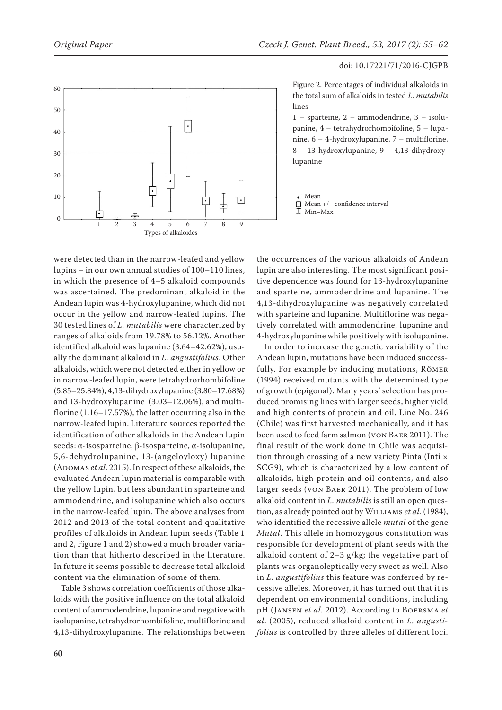

were detected than in the narrow-leafed and yellow lupins – in our own annual studies of 100–110 lines, in which the presence of 4–5 alkaloid compounds was ascertained. The predominant alkaloid in the Andean lupin was 4-hydroxylupanine, which did not occur in the yellow and narrow-leafed lupins. The 30 tested lines of *L. mutabilis* were characterized by ranges of alkaloids from 19.78% to 56.12%. Another identified alkaloid was lupanine (3.64–42.62%), usually the dominant alkaloid in *L. angustifolius*. Other alkaloids, which were not detected either in yellow or in narrow-leafed lupin, were tetrahydrorhombifoline (5.85–25.84%), 4,13-dihydroxylupanine (3.80–17.68%) and 13-hydroxylupanine (3.03–12.06%), and multiflorine (1.16–17.57%), the latter occurring also in the narrow-leafed lupin. Literature sources reported the identification of other alkaloids in the Andean lupin seeds: α-isosparteine, β-isosparteine, α-isolupanine, 5,6-dehydrolupanine, 13-(angeloyloxy) lupanine (Adomas *et al*. 2015). In respect of these alkaloids, the evaluated Andean lupin material is comparable with the yellow lupin, but less abundant in sparteine and ammodendrine, and isolupanine which also occurs in the narrow-leafed lupin. The above analyses from 2012 and 2013 of the total content and qualitative profiles of alkaloids in Andean lupin seeds (Table 1 and 2, Figure 1 and 2) showed a much broader variation than that hitherto described in the literature. In future it seems possible to decrease total alkaloid content via the elimination of some of them.

Table 3 shows correlation coefficients of those alkaloids with the positive influence on the total alkaloid content of ammodendrine, lupanine and negative with isolupanine, tetrahydrorhombifoline, multiflorine and 4,13-dihydroxylupanine. The relationships between Figure 2. Percentages of individual alkaloids in the total sum of alkaloids in tested *L. mutabilis* lines

1 – sparteine, 2 – ammodendrine, 3 – isolupanine, 4 – tetrahydrorhombifoline, 5 – lupanine, 6 – 4-hydroxylupanine, 7 – multiflorine, 8 – 13-hydroxylupanine, 9 – 4,13-dihydroxylupanine



the occurrences of the various alkaloids of Andean lupin are also interesting. The most significant positive dependence was found for 13-hydroxylupanine and sparteine, ammodendrine and lupanine. The 4,13-dihydroxylupanine was negatively correlated with sparteine and lupanine. Multiflorine was negatively correlated with ammodendrine, lupanine and 4-hydroxylupanine while positively with isolupanine.

In order to increase the genetic variability of the Andean lupin, mutations have been induced successfully. For example by inducing mutations, Römer (1994) received mutants with the determined type of growth (epigonal). Many years' selection has produced promising lines with larger seeds, higher yield and high contents of protein and oil. Line No. 246 (Chile) was first harvested mechanically, and it has been used to feed farm salmon (von Baer 2011). The final result of the work done in Chile was acquisition through crossing of a new variety Pinta (Inti × SCG9), which is characterized by a low content of alkaloids, high protein and oil contents, and also larger seeds (von Baer 2011). The problem of low alkaloid content in *L. mutabilis* is still an open question, as already pointed out by WILLIAMS et al. (1984), who identified the recessive allele *mutal* of the gene *Mutal*. This allele in homozygous constitution was responsible for development of plant seeds with the alkaloid content of  $2-3$  g/kg; the vegetative part of plants was organoleptically very sweet as well. Also in *L. angustifolius* this feature was conferred by recessive alleles. Moreover, it has turned out that it is dependent on environmental conditions, including pH (Jansen *et al.* 2012). According to Boersma *et al*. (2005), reduced alkaloid content in *L. angustifolius* is controlled by three alleles of different loci.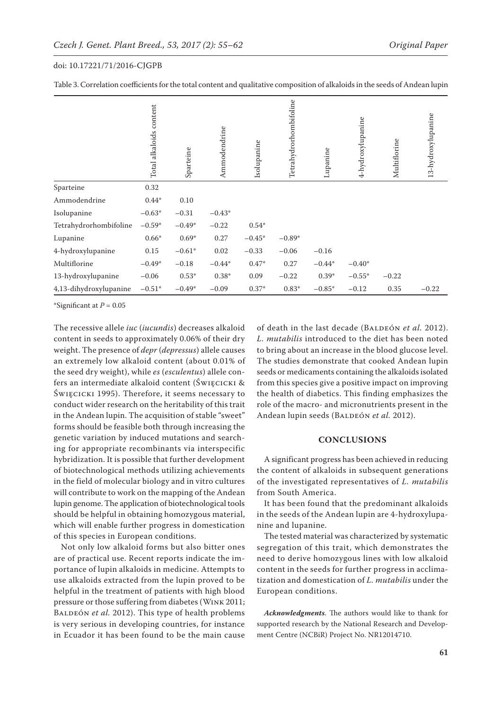Table 3. Correlation coefficients for the total content and qualitative composition of alkaloids in the seeds of Andean lupin

|                        | content<br>alkaloids<br>Total | Sparteine | Ammodendrine | Isolupanine | Tetrahydrorhombifoline | Lupanine | 4-hydroxylupanine | Multiflorine | 13-hydroxylupanine |
|------------------------|-------------------------------|-----------|--------------|-------------|------------------------|----------|-------------------|--------------|--------------------|
| Sparteine              | 0.32                          |           |              |             |                        |          |                   |              |                    |
| Ammodendrine           | $0.44*$                       | 0.10      |              |             |                        |          |                   |              |                    |
| Isolupanine            | $-0.63*$                      | $-0.31$   | $-0.43*$     |             |                        |          |                   |              |                    |
| Tetrahydrorhombifoline | $-0.59*$                      | $-0.49*$  | $-0.22$      | $0.54*$     |                        |          |                   |              |                    |
| Lupanine               | $0.66*$                       | $0.69*$   | 0.27         | $-0.45*$    | $-0.89*$               |          |                   |              |                    |
| 4-hydroxylupanine      | 0.15                          | $-0.61*$  | 0.02         | $-0.33$     | $-0.06$                | $-0.16$  |                   |              |                    |
| Multiflorine           | $-0.49*$                      | $-0.18$   | $-0.44*$     | $0.47*$     | 0.27                   | $-0.44*$ | $-0.40*$          |              |                    |
| 13-hydroxylupanine     | $-0.06$                       | $0.53*$   | $0.38*$      | 0.09        | $-0.22$                | $0.39*$  | $-0.55*$          | $-0.22$      |                    |
| 4,13-dihydroxylupanine | $-0.51*$                      | $-0.49*$  | $-0.09$      | $0.37*$     | $0.83*$                | $-0.85*$ | $-0.12$           | 0.35         | $-0.22$            |

\*Significant at  $P = 0.05$ 

The recessive allele *iuc* (*iucundis*) decreases alkaloid content in seeds to approximately 0.06% of their dry weight. The presence of *depr* (*depressus*) allele causes an extremely low alkaloid content (about 0.01% of the seed dry weight), while *es* (*esculentus*) allele confers an intermediate alkaloid content (ŚwiĘcicki & Święcicki 1995). Therefore, it seems necessary to conduct wider research on the heritability of this trait in the Andean lupin. The acquisition of stable "sweet" forms should be feasible both through increasing the genetic variation by induced mutations and searching for appropriate recombinants via interspecific hybridization. It is possible that further development of biotechnological methods utilizing achievements in the field of molecular biology and in vitro cultures will contribute to work on the mapping of the Andean lupin genome. The application of biotechnological tools should be helpful in obtaining homozygous material, which will enable further progress in domestication of this species in European conditions.

Not only low alkaloid forms but also bitter ones are of practical use. Recent reports indicate the importance of lupin alkaloids in medicine. Attempts to use alkaloids extracted from the lupin proved to be helpful in the treatment of patients with high blood pressure or those suffering from diabetes (Wink 2011; BALDEÓN et al. 2012). This type of health problems is very serious in developing countries, for instance in Ecuador it has been found to be the main cause

of death in the last decade (BALDEÓN et al. 2012). *L. mutabilis* introduced to the diet has been noted to bring about an increase in the blood glucose level. The studies demonstrate that cooked Andean lupin seeds or medicaments containing the alkaloids isolated from this species give a positive impact on improving the health of diabetics. This finding emphasizes the role of the macro- and micronutrients present in the Andean lupin seeds (BALDEÓN et al. 2012).

# **CONCLUSIONS**

A significant progress has been achieved in reducing the content of alkaloids in subsequent generations of the investigated representatives of *L. mutabilis* from South America.

It has been found that the predominant alkaloids in the seeds of the Andean lupin are 4-hydroxylupanine and lupanine.

The tested material was characterized by systematic segregation of this trait, which demonstrates the need to derive homozygous lines with low alkaloid content in the seeds for further progress in acclimatization and domestication of *L. mutabilis* under the European conditions.

*Acknowledgments*. The authors would like to thank for supported research by the National Research and Development Centre (NCBiR) Project No. NR12014710.